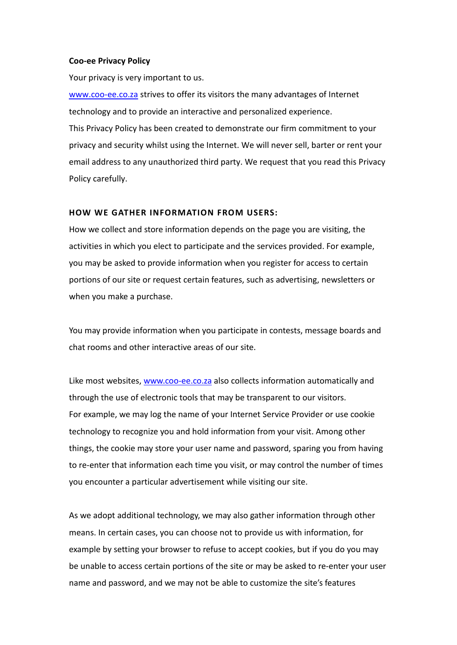### **Coo-ee Privacy Policy**

Your privacy is very important to us.

[www.coo-ee.co.za](http://www.coo-ee.co.za/) strives to offer its visitors the many advantages of Internet technology and to provide an interactive and personalized experience. This Privacy Policy has been created to demonstrate our firm commitment to your privacy and security whilst using the Internet. We will never sell, barter or rent your email address to any unauthorized third party. We request that you read this Privacy Policy carefully.

# **HOW WE GATHER INFORMATION FROM USERS:**

How we collect and store information depends on the page you are visiting, the activities in which you elect to participate and the services provided. For example, you may be asked to provide information when you register for access to certain portions of our site or request certain features, such as advertising, newsletters or when you make a purchase.

You may provide information when you participate in contests, message boards and chat rooms and other interactive areas of our site.

Like most websites, [www.coo-ee.co.za](http://www.coo-ee.co.za/) also collects information automatically and through the use of electronic tools that may be transparent to our visitors. For example, we may log the name of your Internet Service Provider or use cookie technology to recognize you and hold information from your visit. Among other things, the cookie may store your user name and password, sparing you from having to re-enter that information each time you visit, or may control the number of times you encounter a particular advertisement while visiting our site.

As we adopt additional technology, we may also gather information through other means. In certain cases, you can choose not to provide us with information, for example by setting your browser to refuse to accept cookies, but if you do you may be unable to access certain portions of the site or may be asked to re-enter your user name and password, and we may not be able to customize the site's features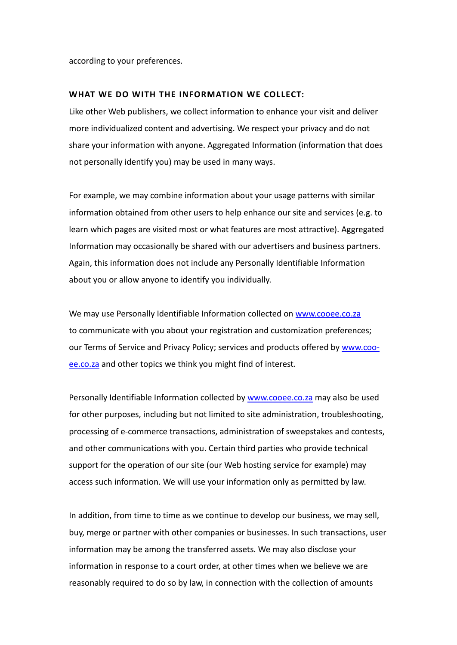according to your preferences.

#### **WHAT WE DO WITH THE INFORMATION WE COLLECT:**

Like other Web publishers, we collect information to enhance your visit and deliver more individualized content and advertising. We respect your privacy and do not share your information with anyone. Aggregated Information (information that does not personally identify you) may be used in many ways.

For example, we may combine information about your usage patterns with similar information obtained from other users to help enhance our site and services (e.g. to learn which pages are visited most or what features are most attractive). Aggregated Information may occasionally be shared with our advertisers and business partners. Again, this information does not include any Personally Identifiable Information about you or allow anyone to identify you individually.

We may use Personally Identifiable Information collected on [www.cooee.co.za](http://www.cooee.co.za/) to communicate with you about your registration and customization preferences; our Terms of Service and Privacy Policy; services and products offered by [www.coo](http://www.coo-ee.co.za/)[ee.co.za](http://www.coo-ee.co.za/) and other topics we think you might find of interest.

Personally Identifiable Information collected by [www.cooee.co.za](http://www.cooee.co.za/) may also be used for other purposes, including but not limited to site administration, troubleshooting, processing of e-commerce transactions, administration of sweepstakes and contests, and other communications with you. Certain third parties who provide technical support for the operation of our site (our Web hosting service for example) may access such information. We will use your information only as permitted by law.

In addition, from time to time as we continue to develop our business, we may sell, buy, merge or partner with other companies or businesses. In such transactions, user information may be among the transferred assets. We may also disclose your information in response to a court order, at other times when we believe we are reasonably required to do so by law, in connection with the collection of amounts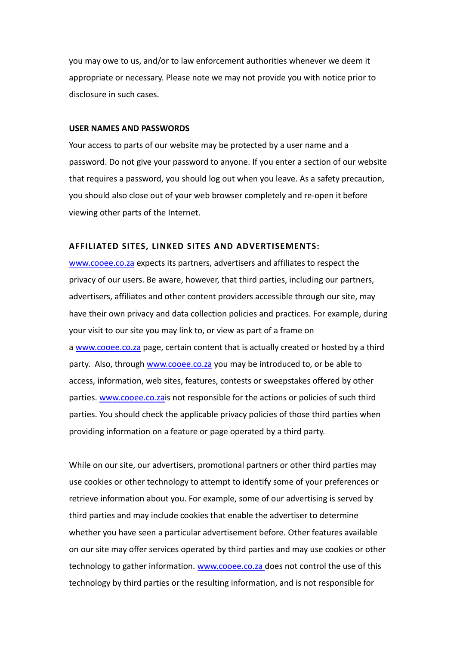you may owe to us, and/or to law enforcement authorities whenever we deem it appropriate or necessary. Please note we may not provide you with notice prior to disclosure in such cases.

#### **USER NAMES AND PASSWORDS**

Your access to parts of our website may be protected by a user name and a password. Do not give your password to anyone. If you enter a section of our website that requires a password, you should log out when you leave. As a safety precaution, you should also close out of your web browser completely and re-open it before viewing other parts of the Internet.

### **AFFILIATED SITES, LINKED SITES AND ADVERTISEMENTS:**

[www.cooee.co.za](http://www.cooee.co.za/) expects its partners, advertisers and affiliates to respect the privacy of our users. Be aware, however, that third parties, including our partners, advertisers, affiliates and other content providers accessible through our site, may have their own privacy and data collection policies and practices. For example, during your visit to our site you may link to, or view as part of a frame on a [www.cooee.co.za](http://www.cooee.co.za/) page, certain content that is actually created or hosted by a third party. Also, through [www.cooee.co.za](http://www.cooee.co.za/) you may be introduced to, or be able to access, information, web sites, features, contests or sweepstakes offered by other parties. [www.cooee.co.zai](http://www.cooee.co.za/)s not responsible for the actions or policies of such third parties. You should check the applicable privacy policies of those third parties when providing information on a feature or page operated by a third party.

While on our site, our advertisers, promotional partners or other third parties may use cookies or other technology to attempt to identify some of your preferences or retrieve information about you. For example, some of our advertising is served by third parties and may include cookies that enable the advertiser to determine whether you have seen a particular advertisement before. Other features available on our site may offer services operated by third parties and may use cookies or other technology to gather information. [www.cooee.co.za](http://www.cooee.co.za/) does not control the use of this technology by third parties or the resulting information, and is not responsible for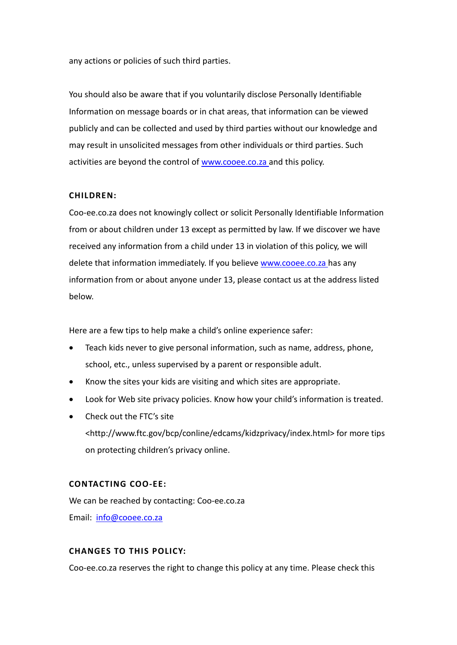any actions or policies of such third parties.

You should also be aware that if you voluntarily disclose Personally Identifiable Information on message boards or in chat areas, that information can be viewed publicly and can be collected and used by third parties without our knowledge and may result in unsolicited messages from other individuals or third parties. Such activities are beyond the control of [www.cooee.co.za](http://www.cooee.co.za/) and this policy.

# **CHILDREN:**

Coo-ee.co.za does not knowingly collect or solicit Personally Identifiable Information from or about children under 13 except as permitted by law. If we discover we have received any information from a child under 13 in violation of this policy, we will delete that information immediately. If you believe [www.cooee.co.za](http://www.cooee.co.za/) has any information from or about anyone under 13, please contact us at the address listed below.

Here are a few tips to help make a child's online experience safer:

- Teach kids never to give personal information, such as name, address, phone, school, etc., unless supervised by a parent or responsible adult.
- Know the sites your kids are visiting and which sites are appropriate.
- Look for Web site privacy policies. Know how your child's information is treated.
- Check out the FTC's site <http://www.ftc.gov/bcp/conline/edcams/kidzprivacy/index.html> for more tips on protecting children's privacy online.

# **CONTACTING COO-EE:**

We can be reached by contacting: Coo-ee.co.za Email: [info@cooee.co.za](mailto:info@cooee.co.za)

# **CHANGES TO THIS POLICY:**

Coo-ee.co.za reserves the right to change this policy at any time. Please check this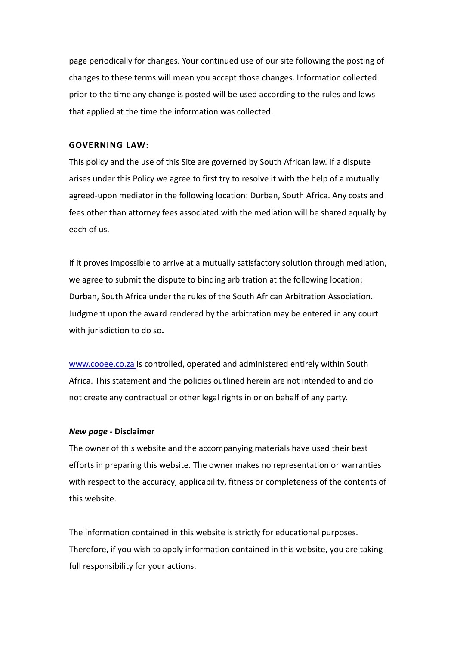page periodically for changes. Your continued use of our site following the posting of changes to these terms will mean you accept those changes. Information collected prior to the time any change is posted will be used according to the rules and laws that applied at the time the information was collected.

# **GOVERNING LAW:**

This policy and the use of this Site are governed by South African law. If a dispute arises under this Policy we agree to first try to resolve it with the help of a mutually agreed-upon mediator in the following location: Durban, South Africa. Any costs and fees other than attorney fees associated with the mediation will be shared equally by each of us.

If it proves impossible to arrive at a mutually satisfactory solution through mediation, we agree to submit the dispute to binding arbitration at the following location: Durban, South Africa under the rules of the South African Arbitration Association. Judgment upon the award rendered by the arbitration may be entered in any court with jurisdiction to do so**.**

[www.cooee.co.za](http://www.cooee.co.za/) is controlled, operated and administered entirely within South Africa. This statement and the policies outlined herein are not intended to and do not create any contractual or other legal rights in or on behalf of any party.

## *New page -* **Disclaimer**

The owner of this website and the accompanying materials have used their best efforts in preparing this website. The owner makes no representation or warranties with respect to the accuracy, applicability, fitness or completeness of the contents of this website.

The information contained in this website is strictly for educational purposes. Therefore, if you wish to apply information contained in this website, you are taking full responsibility for your actions.